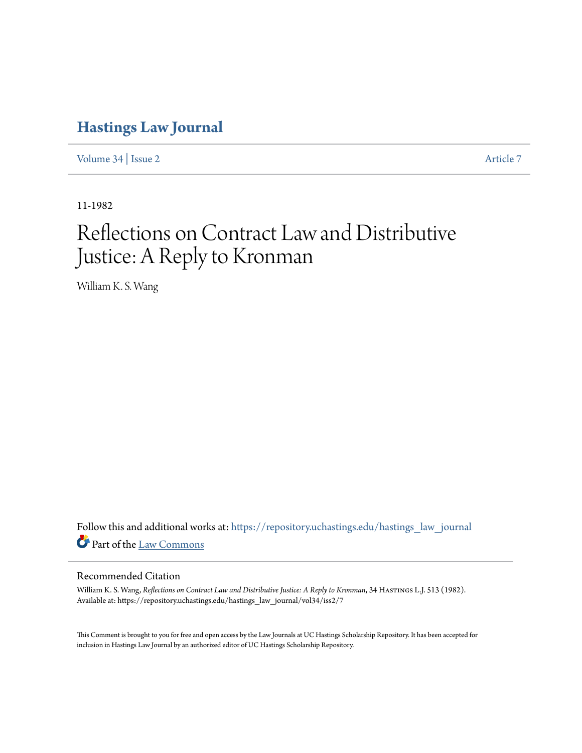## **[Hastings Law Journal](https://repository.uchastings.edu/hastings_law_journal?utm_source=repository.uchastings.edu%2Fhastings_law_journal%2Fvol34%2Fiss2%2F7&utm_medium=PDF&utm_campaign=PDFCoverPages)**

[Volume 34](https://repository.uchastings.edu/hastings_law_journal/vol34?utm_source=repository.uchastings.edu%2Fhastings_law_journal%2Fvol34%2Fiss2%2F7&utm_medium=PDF&utm_campaign=PDFCoverPages) | [Issue 2](https://repository.uchastings.edu/hastings_law_journal/vol34/iss2?utm_source=repository.uchastings.edu%2Fhastings_law_journal%2Fvol34%2Fiss2%2F7&utm_medium=PDF&utm_campaign=PDFCoverPages) [Article 7](https://repository.uchastings.edu/hastings_law_journal/vol34/iss2/7?utm_source=repository.uchastings.edu%2Fhastings_law_journal%2Fvol34%2Fiss2%2F7&utm_medium=PDF&utm_campaign=PDFCoverPages)

11-1982

# Reflections on Contract Law and Distributive Justice: A Reply to Kronman

William K. S. Wang

Follow this and additional works at: [https://repository.uchastings.edu/hastings\\_law\\_journal](https://repository.uchastings.edu/hastings_law_journal?utm_source=repository.uchastings.edu%2Fhastings_law_journal%2Fvol34%2Fiss2%2F7&utm_medium=PDF&utm_campaign=PDFCoverPages) Part of the [Law Commons](http://network.bepress.com/hgg/discipline/578?utm_source=repository.uchastings.edu%2Fhastings_law_journal%2Fvol34%2Fiss2%2F7&utm_medium=PDF&utm_campaign=PDFCoverPages)

#### Recommended Citation

William K. S. Wang, *Reflections on Contract Law and Distributive Justice: A Reply to Kronman*, 34 HASTINGS L.J. 513 (1982). Available at: https://repository.uchastings.edu/hastings\_law\_journal/vol34/iss2/7

This Comment is brought to you for free and open access by the Law Journals at UC Hastings Scholarship Repository. It has been accepted for inclusion in Hastings Law Journal by an authorized editor of UC Hastings Scholarship Repository.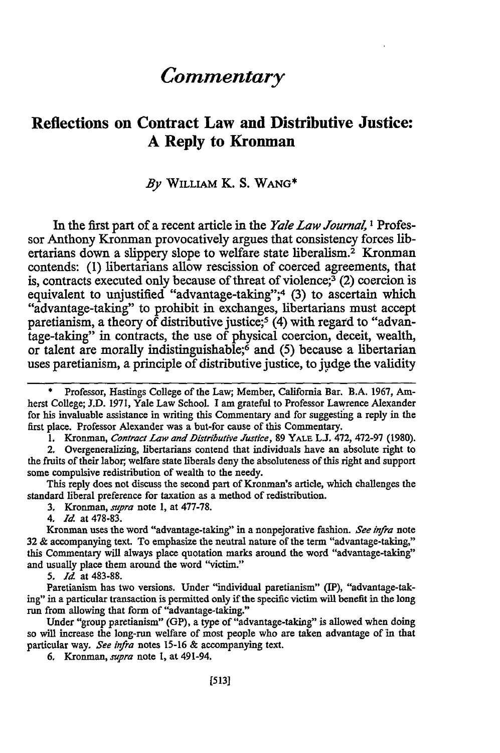## *Commentary*

## **Reflections on Contract Law and Distributive Justice: A Reply to Kronman**

#### By **WILLIAM** K. **S. WANG\***

In the first part **of** a recent article in the *Yale Law Journal, I* Professor Anthony Kronman provocatively argues that consistency forces **lib**ertarians down a slippery slope to welfare state liberalism.<sup>2</sup> Kronman contends: **(1)** libertarians allow rescission of coerced agreements, that is, contracts executed only because of threat of violence; $\frac{3}{2}$  (2) coercion is equivalent to unjustified "advantage-taking";<sup>4</sup> (3) to ascertain which "advantage-taking" to prohibit in exchanges, libertarians must accept paretianism, a theory of distributive justice;<sup>5</sup> (4) with regard to "advantage-taking" in contracts, the use of physical coercion, deceit, wealth, or talent are morally indistinguishable; 6 and **(5)** because a libertarian uses paretianism, a principle of distributive justice, to **judge** the validity

1. Kronman, *Contract Law and Distributive Justice,* 89 YALE **L.J.** 472, 472-97 (1980).

2. Overgeneralizing, libertarians contend that individuals have an absolute right to the fruits of their labor, welfare state liberals deny the absoluteness of this right and support some compulsive redistribution of wealth to the needy.

This reply does not discuss the second part of Kronman's article, which challenges the standard liberal preference for taxation as a method of redistribution.

**3.** Kronman, *supra* note 1, at 477-78.

4. *Id* at 478-83.

Kronman uses the word "advantage-taking" in a nonpejorative fashion. *See infra* note 32 & accompanying text. To emphasize the neutral nature of the term "advantage-taking," this Commentary will always place quotation marks around the word "advantage-taking" and usually place them around the word "victim."

5. *Id* at 483-88.

Paretianism has two versions. Under "individual paretianism" (IP), "advantage-taking" in a particular transaction is permitted only if the specific victim will benefit in the long run from allowing that form of "advantage-taking."

Under "group paretianism" (GP), a type of "advantage-taking" is allowed when doing so will increase the long-run welfare of most people who are taken advantage of in that particular way. *See infra* notes 15-16 & accompanying text.

*6,* Kronman, *supra* note 1, at 491-94.

Professor, Hastings College of the Law; Member, California Bar. B.A. 1967, Amherst College; J.D. 1971, Yale Law School. I am grateful to Professor Lawrence Alexander for his invaluable assistance in writing this Commentary and for suggesting a reply in the first place. Professor Alexander was a but-for cause of this Commentary.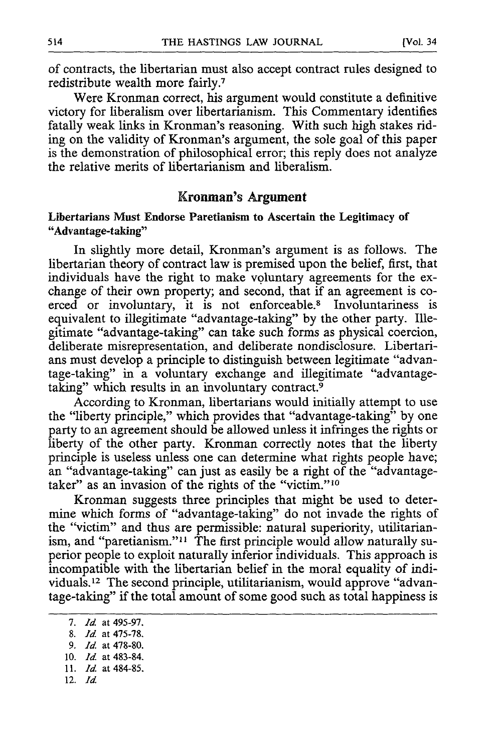of contracts, the libertarian must also accept contract rules designed to redistribute wealth more fairly.<sup>7</sup>

Were Kronman correct, his argument would constitute a definitive victory for liberalism over libertarianism. This Commentary identifies fatally weak links in Kronman's reasoning. With such high stakes riding on the validity of Kronman's argument, the sole goal of this paper is the demonstration of philosophical error; this reply does not analyze the relative merits of libertarianism and liberalism.

#### **Kronman's Argument**

#### Libertarians Must Endorse Paretianism to Ascertain the Legitimacy of "Advantage-taking"

In slightly more detail, Kronman's argument is as follows. The libertarian theory of contract law is premised upon the belief, first, that individuals have the right to make voluntary agreements for the exchange of their own property; and second, that if an agreement is coerced or involuntary, it is not enforceable.<sup>8</sup> Involuntariness is equivalent to illegitimate "advantage-taking" **by** the other party. Illegitimate "advantage-taking" can take such forms as physical coercion, deliberate misrepresentation, and deliberate nondisclosure. Libertarians must develop a principle to distinguish between legitimate "advantage-taking" in a voluntary exchange and illegitimate "advantagetaking" which results in an involuntary contract.<sup>9</sup>

According to Kronman, libertarians would initially attempt to use the "liberty principle," which provides that "advantage-taking" **by** one party to an agreement should be allowed unless it infringes the rights or liberty of the other party. Kronman correctly notes that the liberty principle is useless unless one can determine what rights people have; an "advantage-taking" can just as easily be a right of the "advantagetaker" as an invasion of the rights of the **"victim.'10**

Kronman suggests three principles that might be used to determine which forms of "advantage-taking" do not invade the rights of the "victim" and thus are permissible: natural superiority, utilitarianism, and "paretianism."<sup>11</sup> The first principle would allow naturally superior people to exploit naturally inferior individuals. This approach is incompatible with the libertarian belief in the moral equality of individuals.12 The second principle, utilitarianism, would approve "advantage-taking" if the total amount of some good such as total happiness is

(Vol. 34

**<sup>7.</sup>** *Id.* at **495-97.**

**<sup>8.</sup>** *Id* at **475-78.**

**<sup>9.</sup>** *Id* at **478-80.**

**<sup>10.</sup>** *Id.* at 483-84.

**<sup>11.</sup> Id.** at 484-85.

<sup>12.</sup> *Id*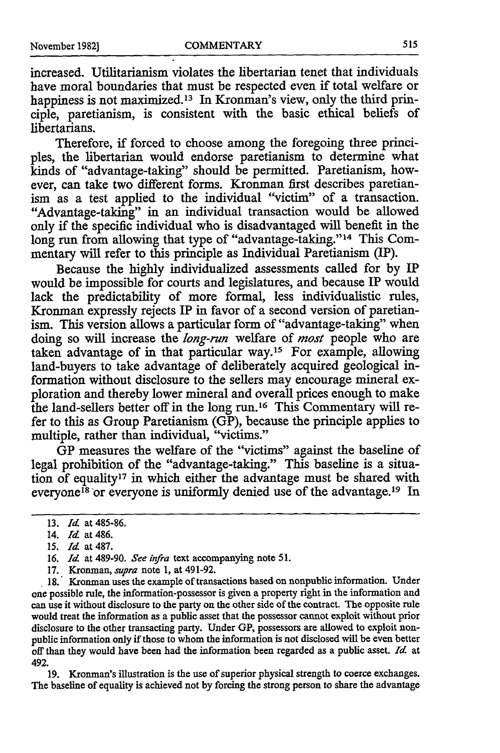increased. Utilitarianism violates the libertarian tenet that individuals have moral boundaries that must be respected even if total welfare or happiness is not maximized.<sup>13</sup> In Kronman's view, only the third principle, paretianism, is consistent with the basic ethical beliefs of libertarians.

Therefore, if forced to choose among the foregoing three principles, the libertarian would endorse paretianism to determine what kinds of "advantage-taking" should be permitted. Paretianism, however, can take two different forms. Kronman first describes paretianism as a test applied to the individual "victim" of a transaction. "Advantage-taking" in an individual transaction would be allowed only if the specific individual who is disadvantaged will benefit in the long run from allowing that type of "advantage-taking."<sup>14</sup> This Commentary will refer to this principle as Individual Paretianism (IP).

Because the **highly** individualized assessments called for **by** IP would be impossible for courts and legislatures, and because IP would lack the predictability of more formal, less individualistic rules, Kronman expressly rejects IP in favor of a second version of paretianism. This version allows a particular form of "advantage-taking" when doing so will increase the *long-run* welfare of *most* people who are taken advantage of in that particular way.15 For example, allowing land-buyers to take advantage of deliberately acquired geological information without disclosure to the sellers may encourage mineral exploration and thereby lower mineral and overall prices enough to make the land-sellers better off in the long run.16 This Commentary will refer to this as Group Paretianism **(GP),** because the principle applies to multiple, rather than individual, "victims."

**GP** measures the welfare of the "victims" against the baseline of legal prohibition of the "advantage-taking." This baseline is a situation of equality17 in which either the advantage must be shared with everyone<sup>18</sup> or everyone is uniformly denied use of the advantage.<sup>19</sup> In

**15.** *Id* at **487.**

**18.** Kronman uses the example of transactions based on nonpublic information. Under one possible rule, the information-possessor is given a property right in the information and can use it without disclosure to the party on the other side of the contract. The opposite rule would treat the information as a public asset that the possessor cannot exploit without prior disclosure to the other transacting party. Under **GP,** possessors are allowed to exploit nonpublic information only if those to whom the information is not disclosed will be even better off than they would have been had the information been regarded as a public asset. *I4* at 492.

**19.** Kronman's illustration is the use of superior physical strength to coerce exchanges. The baseline of equality is achieved not **by** forcing the strong person to share the advantage

**<sup>13.</sup>** *Id* at 485-86.

<sup>14.</sup> *Id* at 486.

**<sup>16.</sup> Id at** 489-90. **See infra** text accompanying note **51.**

**<sup>17.</sup>** Kronman, *supra* note **1,** at 491-92.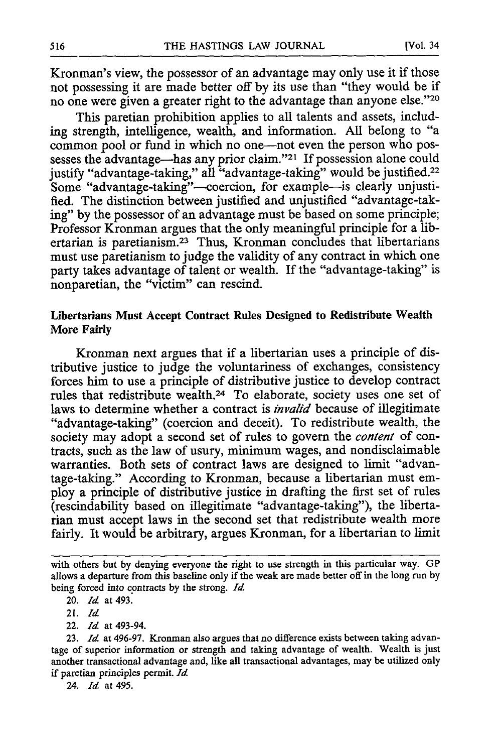Kronman's view, the possessor of an advantage may only use it if those not possessing it are made better off by its use than "they would be if no one were given a greater right to the advantage than anyone else."20

This paretian prohibition applies to all talents and assets, including strength, intelligence, wealth, and information. All belong to "a common pool or fund in which no one-not even the person who possesses the advantage-has any prior claim."<sup>21</sup> If possession alone could justify "advantage-taking," all "advantage-taking" would be justified.<sup>22</sup> Some "advantage-taking"--coercion, for example-is clearly unjustified. The distinction between justified and unjustified "advantage-taking" by the possessor of an advantage must be based on some principle; Professor Kronman argues that the only meaningful principle for a libertarian is paretianism.<sup>23</sup> Thus, Kronman concludes that libertarians must use paretianism to judge the validity of any contract in which one party takes advantage of talent or wealth. If the "advantage-taking" is nonparetian, the "victim" can rescind.

#### Libertarians Must Accept Contract Rules Designed to Redistribute Wealth More Fairly

Kronman next argues that if a libertarian uses a principle of distributive justice to judge the voluntariness of exchanges, consistency forces him to use a principle of distributive justice to develop contract rules that redistribute wealth.<sup>24</sup> To elaborate, society uses one set of laws to determine whether a contract is *invalid* because of illegitimate "advantage-taking" (coercion and deceit). To redistribute wealth, the society may adopt a second set of rules to govern the *content* of contracts, such as the law of usury, minimum wages, and nondisclaimable warranties. Both sets of contract laws are designed to limit "advantage-taking." According to Kronman, because a libertarian must employ a principle of distributive justice in drafting the first set of rules (rescindability based on illegitimate "advantage-taking"), the liberta**rian** must accept laws in the second set that redistribute wealth more fairly. It would be arbitrary, argues Kronman, for a libertarian to limit

22. *Id* at 493-94.

with others but **by** denying everyone the right to use strength in this particular way. GP allows a departure from this baseline only if the weak are made better off in the long run by being forced into contracts by the strong. *Id*

<sup>20.</sup> *Id* at 493.

**<sup>21.</sup>** *Id*

<sup>23.</sup> *Id* at 496-97. Kronman also argues that no difference exists between taking advantage of superior information or strength and taking advantage of wealth. Wealth is just another transactional advantage and, like all transactional advantages, may be utilized only if paretian principles permit. *Id*

<sup>24.</sup> *Id* at 495.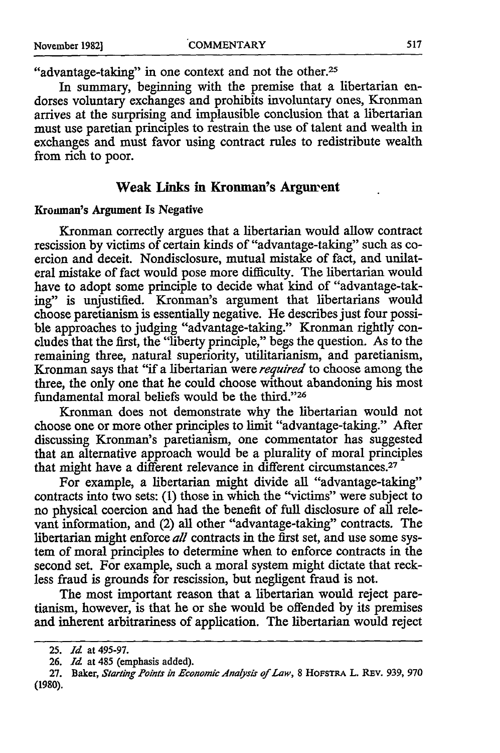"advantage-taking" in one context and not the other.<sup>25</sup>

In summary, beginning with the premise that a libertarian endorses voluntary exchanges and prohibits involuntary ones, Kronman arrives at the surprising and implausible conclusion that a libertarian must use paretian principles to restrain the use of talent and wealth in exchanges and must favor using contract rules to redistribute wealth from rich to poor.

#### **Weak Links in Kronman's Argunrent**

#### Krounan's Argument Is Negative

Kronman correctly argues that a libertarian would allow contract rescission by victims of certain kinds of "advantage-taking" such as coercion and deceit. Nondisclosure, mutual mistake of fact, and unilateral mistake of fact would pose more difficulty. The libertarian would have to adopt some principle to decide what kind of "advantage-taking" is unjustified. Kronman's argument that libertarians would choose paretianism is essentially negative. He describes just four possible approaches to judging "advantage-taking." Kronman rightly concludes that the first, the "liberty principle," begs the question. As to the remaining three, natural superiority, utilitarianism, and paretianism, Kronman says that "if a libertarian were *required* to choose among the three, the only one that he could choose without abandoning his most fundamental moral beliefs would be the third."<sup>26</sup>

Kronman does not demonstrate why the libertarian would not choose one or more other principles to limit "advantage-taking." After discussing Kronman's paretianism, one commentator has suggested that an alternative approach would be a plurality of moral principles that might have a different relevance in different circumstances.<sup>27</sup>

For example, a libertarian might divide all "advantage-taking" contracts into two sets: (1) those in which the "victims" were subject to no physical coercion and had the benefit of full disclosure of all relevant information, and (2) all other "advantage-taking" contracts. The libertarian might enforce *all* contracts in the first set, and use some system of moral principles to determine when to enforce contracts in the second set. For example, such a moral system might dictate that reckless fraud is grounds for rescission, but negligent fraud is not.

The most important reason that a libertarian would reject paretianism, however, is that he or she would be offended by its premises and inherent arbitrariness of application. The libertarian would reject

**<sup>25.</sup>** *Id* at **495-97.**

**<sup>26.</sup>** *Id* at 485 (emphasis added).

**<sup>27.</sup>** Baker, *Starting Points in Economic Alnaysis of Law,* **8 HOFSTRA L. REv. 939, 970 (1980).**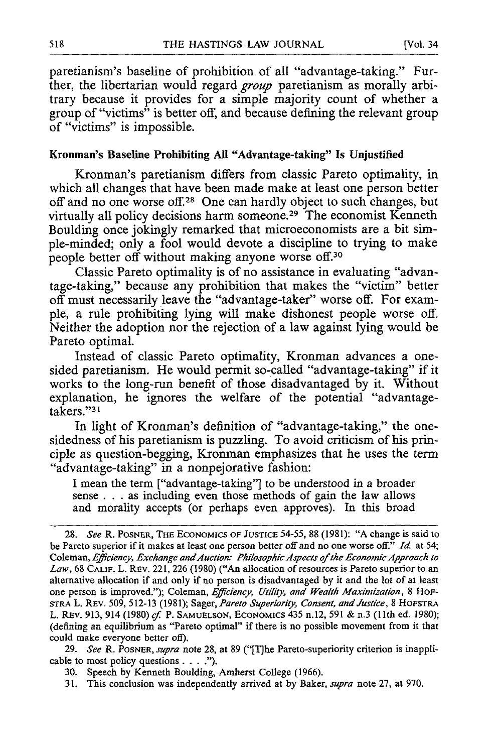paretianism's baseline of prohibition of all "advantage-taking." Further, the libertarian would regard *group* paretianism as morally arbitrary because it provides for a simple majority count of whether a group of "victims" is better off, and because defining the relevant group of "victims" is impossible.

#### Kronman's Baseline Prohibiting **All** "Advantage-taking" Is Unjustified

Kronman's paretianism differs from classic Pareto optimality, in which all changes that have been made make at least one person better off and no one worse off.<sup>28</sup> One can hardly object to such changes, but virtually all policy decisions harm someone.29 The economist Kenneth Boulding once jokingly remarked that microeconomists are a bit simple-minded; only a fool would devote a discipline to trying to make people better off without making anyone worse off.<sup>30</sup>

Classic Pareto optimality is of no assistance in evaluating "advantage-taking," because any prohibition that makes the "victim" better off must necessarily leave the "advantage-taker" worse off. For example, a rule prohibiting lying will make dishonest people worse off. Neither the adoption nor the rejection of a law against lying would be Pareto optimal.

Instead of classic Pareto optimality, Kronman advances a onesided paretianism. He would permit so-called "advantage-taking" if it works to the long-run benefit of those disadvantaged by it. Without explanation, he ignores the welfare of the potential "advantage- $\tilde{\text{t}}$ akers."<sup>31</sup>

In light of Kronman's definition of "advantage-taking," the onesidedness of his paretianism is puzzling. To avoid criticism of his principle as question-begging, Kronman emphasizes that he uses the term "advantage-taking" in a nonpejorative fashion:

I mean the term ["advantage-taking"] to be understood in a broader sense **...** as including even those methods of gain the law allows and morality accepts (or perhaps even approves). In this broad

29. *See* R. POSNER, *supra* note 28, at 89 ("[Tlhe Pareto-superiority criterion is inapplicable to most policy questions **....").**

31. This conclusion was independently arrived at by Baker, *supra* note 27, at 970.

<sup>28.</sup> *See* R. POSNER, THE **ECONOMICS** OF **JUSTICE** 54-55, 88 (1981): "A change is said to be Pareto superior if it makes at least one person better off and no one worse off." *Id* at 54; Coleman, *Efficiency, Exchange andAuction: Philosophic Aspects of* the *Economic Approach to Law,* 68 **CALIF.** L. REV. 221, 226 (1980) ("An allocation of resources is Pareto superior to an alternative allocation if and only if no person is disadvantaged by it and the lot of at least one person is improved."); Coleman, *Efficiency, Utility, and Wealth Maximization,* 8 HoF-STRA L. REV. 509, 512-13 (1981); Sager, *Pareto Superiority, Consent, and Justice,* 8 HOFSTRA L. REV. 913, 914 (1980) cf. P. **SAMUELSON,** ECONOMICS 435 n.12, 591 & n.3 (11th ed. 1980); (defining an equilibrium as "Pareto optimal" if there is no possible movement from it that could make everyone better off).

<sup>30.</sup> Speech by Kenneth Boulding, Amherst College (1966).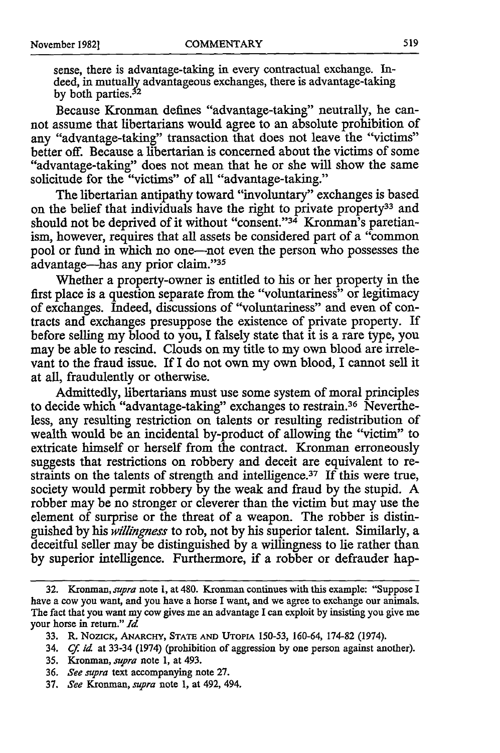sense, there is advantage-taking in every contractual exchange. Indeed, in mutually advantageous exchanges, there is advantage-taking<br>by both parties.<sup>32</sup>

Because Kronman defines "advantage-taking" neutrally, he cannot assume that libertarians would agree to an absolute prohibition of any "advantage-taking" transaction that does not leave the "victims" better off. Because a libertarian is concerned about the victims of some "advantage-taking" does not mean that he or she will show the same solicitude for the "victims" of all "advantage-taking."

The libertarian antipathy toward "involuntary" exchanges is based on the belief that individuals have the right to private property<sup>33</sup> and should not be deprived of it without "consent."<sup>34</sup> Kronman's paretianism, however, requires that all assets be considered part of a "common pool or fund in which no one-not even the person who possesses the advantage-has any prior claim."35

Whether a property-owner is entitled to his or her property in the first place is a question separate from the "voluntariness" or legitimacy of exchanges. Indeed, discussions of "voluntariness" and even of contracts and exchanges presuppose the existence of private property. If before selling my blood to you, I falsely state that it is a rare type, **you** may be able to rescind. Clouds on my title to my own blood are irrelevant to the fraud issue. If I do not own my own blood, I cannot sell it at all, fraudulently or otherwise.

Admittedly, libertarians must use some system of moral principles to decide which "advantage-taking" exchanges to restrain.36 Nevertheless, any resulting restriction on talents or resulting redistribution of wealth would be an incidental by-product of allowing the "victim" to extricate himself or herself from the contract. Kronman erroneously suggests that restrictions on robbery and deceit are equivalent to restraints on the talents of strength and intelligence.<sup>37</sup> If this were true, society would permit robbery by the weak and fraud by the stupid. A robber may be no stronger or cleverer than the victim but may use the element of surprise or the threat of a weapon. The robber is distinguished by his *willingness* to rob, not by his superior talent. Similarly, a deceitful seller may be distinguished by a willingness to lie rather than by superior intelligence. Furthermore, if a robber or defrauder hap-

<sup>32.</sup> Kronman, *supra* note **1,** at 480. Kronman continues with this example: "Suppose I have a cow you want, and you have a horse I want, and we agree to exchange our animals. The fact that you want my cow gives me an advantage I can exploit by insisting you give me your horse in return." *Id*

<sup>33.</sup> R. NozIcK, ANARCHY, **STATE AND UTOPIA** 150-53, 160-64, 174-82 (1974).

<sup>34.</sup> *Cf. id* at 33-34 (1974) (prohibition of aggression by one person against another).

**<sup>35.</sup>** Kronman, *supra* note 1, at 493.

<sup>36.</sup> *See supra* text accompanying note 27.

<sup>37.</sup> *See Kronman, supra* note 1, at 492, 494.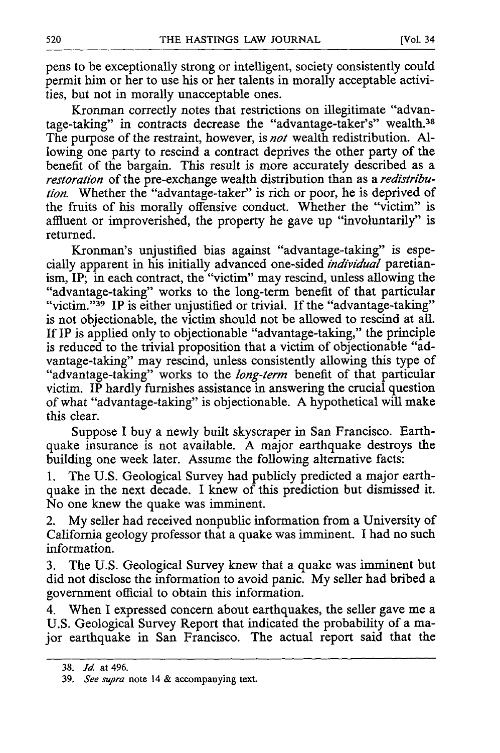pens to be exceptionally strong or intelligent, society consistently could permit him or her to use his or her talents in morally acceptable activities, but not in morally unacceptable ones.

Kronman correctly notes that restrictions on illegitimate "advantage-taking" in contracts decrease the "advantage-taker's" wealth.<sup>38</sup> The purpose of the restraint, however, is *not* wealth redistribution. Allowing one party to rescind a contract deprives the other party of the benefit of the bargain. This result is more accurately described as a *restoration* of the pre-exchange wealth distribution than as a *redistribution.* Whether the "advantage-taker" is rich or poor, he is deprived of the fruits of his morally offensive conduct. Whether the "victim" is affluent or improverished, the property he gave up "involuntarily" is returned.

Kronman's unjustified bias against "advantage-taking" is especially apparent in his initially advanced one-sided *individual* paretianism, IP; in each contract, the "victim" may rescind, unless allowing the "advantage-taking" works to the long-term benefit of that particular "victim." 39 IP is either unjustified or trivial. If the "advantage-taking" is not objectionable, the victim should not be allowed to rescind at all. If IP is applied only to objectionable "advantage-taking," the principle is reduced to the trivial proposition that a victim of objectionable "advantage-taking" may rescind, unless consistently allowing this type of "advantage-taking" works to the *long-term* benefit of that particular victim. IP hardly furnishes assistance in answering the crucial question of what "advantage-taking" is objectionable. A hypothetical will make this clear.

Suppose I buy a newly built skyscraper in San Francisco. Earthquake insurance is not available. A major earthquake destroys the building one week later. Assume the following alternative facts:

1. The U.S. Geological Survey had publicly predicted a major earthquake in the next decade. I knew of this prediction but dismissed it. No one knew the quake was imminent.

2. My seller had received nonpublic information from a University of California geology professor that a quake was imminent. I had no such information.

3. The U.S. Geological Survey knew that a quake was imminent but did not disclose the information to avoid panic. My seller had bribed a government official to obtain this information.

4. When I expressed concern about earthquakes, the seller gave me a U.S. Geological Survey Report that indicated the probability of a major earthquake in San Francisco. The actual report said that the

<sup>38.</sup> *Id* at 496.

<sup>39.</sup> *See supra* note 14 & accompanying text.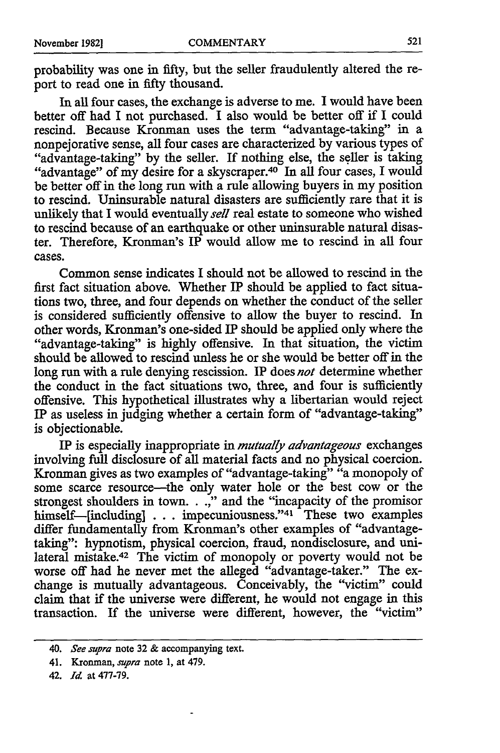probability was one in fifty, but the seller fraudulently altered the report to read one in fifty thousand.

In all four cases, the exchange is adverse to me. I would have been better off had I not purchased. I also would be better off if I could rescind. Because Kronman uses the term "advantage-taking" in a nonpejorative sense, all four cases are characterized by various types of "advantage-taking" by the seller. If nothing else, the seller is taking "advantage" of my desire for a skyscraper.<sup>40</sup> In all four cases, I would be better off in the long run with a rule allowing buyers in my position to rescind. Uninsurable natural disasters are sufficiently rare that it is unlikely that I would eventually *sell* real estate to someone who wished to rescind because of an earthquake or other uninsurable natural disaster. Therefore, Kronman's IP would allow me to rescind in all four cases.

Common sense indicates I should not be allowed to rescind in the first fact situation above. Whether IP should be applied to fact situations two, three, and four depends on whether the conduct of the seller is considered sufficiently offensive to allow the buyer to rescind. In other words, Kronman's one-sided IP should be applied only where the "advantage-taking" is highly offensive. In that situation, the victim should be allowed to rescind unless he or she would be better off in the long run with a rule denying rescission. IP does *not* determine whether the conduct in the fact situations two, three, and four is sufficiently offensive. This hypothetical illustrates why a libertarian would reject IP as useless in judging whether a certain form of "advantage-taking" is objectionable.

IP is especially inappropriate in *mutually advantageous* exchanges involving full disclosure of all material facts and no physical coercion. Kronman gives as two examples of "advantage-taking" "a monopoly of some scarce resource-the only water hole or the best cow or the strongest shoulders in town. . .," and the "incapacity of the promisor himself-[including] . . . impecuniousness."<sup>41</sup> These two examples differ fundamentally from Kronman's other examples of "advantagetaking": hypnotism, physical coercion, fraud, nondisclosure, and unilateral mistake.42 The victim of monopoly or poverty would not be worse off had he never met the alleged "advantage-taker." The exchange is mutually advantageous. Conceivably, the "victim" could claim that if the universe were different, he would not engage in this transaction. If the universe were different, however, the "victim"

<sup>40.</sup> *See supra* note **32** & accompanying text.

<sup>41.</sup> Kronman, *supra* note 1, at 479.

<sup>42.</sup> *Id.* at 477-79.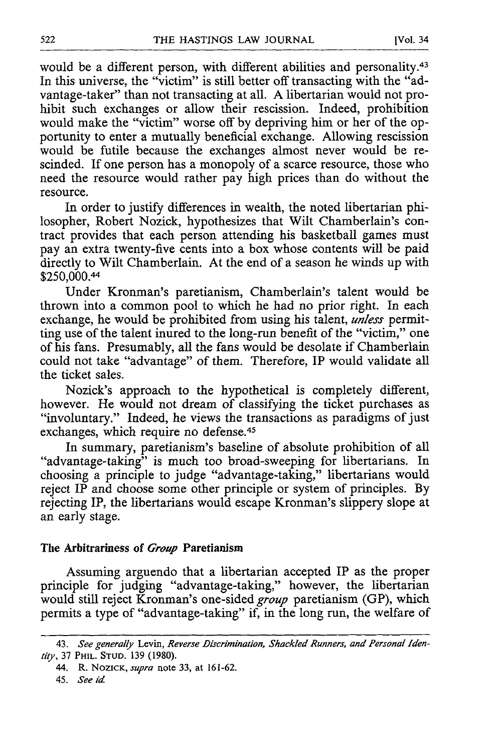would be a different person, with different abilities and personality.<sup>43</sup> In this universe, the "victim" is still better off transacting with the "advantage-taker" than not transacting at all. A libertarian would not prohibit such exchanges or allow their rescission. Indeed, prohibition would make the "victim" worse off by depriving him or her of the opportunity to enter a mutually beneficial exchange. Allowing rescission would be futile because the exchanges almost never would be rescinded. If one person has a monopoly of a scarce resource, those who need the resource would rather pay high prices than do without the resource.

In order to justify differences in wealth, the noted libertarian philosopher, Robert Nozick, hypothesizes that Wilt Chamberlain's contract provides that each person attending his basketball games must pay an extra twenty-five cents into a box whose contents will be paid directly to Wilt Chamberlain. At the end of a season he winds up with \$250,000.44

Under Kronman's paretianism, Chamberlain's talent would be thrown into a common pool to which he had no prior right. In each exchange, he would be prohibited from using his talent, *unless* permitting use of the talent inured to the long-run benefit of the "victim," one of his fans. Presumably, all the fans would be desolate if Chamberlain could not take "advantage" of them. Therefore, IP would validate all the ticket sales.

Nozick's approach to the hypothetical is completely different, however. He would not dream of classifying the ticket purchases as "involuntary." Indeed, he views the transactions as paradigms of just exchanges, which require no defense.<sup>45</sup>

In summary, paretianism's baseline of absolute prohibition of all "advantage-taking" is much too broad-sweeping for libertarians. In choosing a principle to judge "advantage-taking," libertarians would reject IP and choose some other principle or system of principles. By rejecting IP, the libertarians would escape Kronman's slippery slope at an early stage.

#### The Arbitrariness of *Group* Paretianism

Assuming arguendo that a libertarian accepted IP as the proper principle for judging "advantage-taking," however, the libertarian would still reject Kronman's one-sided *group* paretianism (GP), which permits a type of "advantage-taking" if, in the long run, the welfare of

<sup>43.</sup> *See generally* Levin, *Reverse Discrimination, Shackled Runners, and Personal Identity,* 37 PHIL. **STUD.** 139 (1980).

<sup>44.</sup> R. NOZICK, *supra* note 33, at 161-62.

<sup>45.</sup> *See id*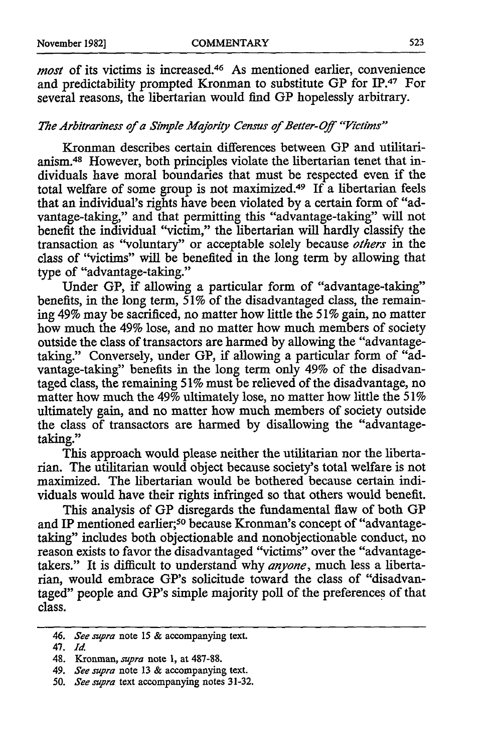*most* of its victims is increased.<sup>46</sup> As mentioned earlier, convenience and predictability prompted Kronman to substitute GP for IP.<sup>47</sup> For several reasons, the libertarian would find **GP** hopelessly arbitrary.

#### *The Arbitrariness of a Simple Majority Census of Better-Off "Victims"*

Kronman describes certain differences between GP and utilitarianism. 48 However, both principles violate the libertarian tenet that individuals have moral boundaries that must be respected even if the total welfare of some group is not maximized.49 If a libertarian feels that an individual's rights have been violated by a certain form of "advantage-taking," and that permitting this "advantage-taking" will not benefit the individual "victim," the libertarian will hardly classify the transaction as "voluntary" or acceptable solely because *others* in the class of "victims" will be benefited in the long term by allowing that type of "advantage-taking."

Under **GP,** if allowing a particular form of "advantage-taking" benefits, in the long term, 51% of the disadvantaged class, the remaining 49% may be sacrificed, no matter how little the *51%* gain, no matter how much the 49% lose, and no matter how much members of society outside the class of transactors are harmed by allowing the "advantagetaking." Conversely, under GP, if allowing a particular form of "advantage-taking" benefits in the long term only 49% of the disadvantaged class, the remaining 51% must be relieved of the disadvantage, no matter how much the 49% ultimately lose, no matter how little the *51%* ultimately gain, and no matter how much members of society outside the class of transactors are harmed **by** disallowing the "advantagetaking."

This approach would please neither the utilitarian nor the libertarian. The utilitarian would object because society's total welfare is not maximized. The libertarian would be bothered because certain individuals would have their rights infringed so that others would benefit.

This analysis of **GP** disregards the fundamental **flaw** of both **GP** and IP mentioned earlier;<sup>50</sup> because Kronman's concept of "advantagetaking" includes both objectionable and nonobjectionable conduct, no reason exists to favor the disadvantaged "victims" over the "advantagetakers." It is difficult to understand why *anyone,* much less a libertarian, would embrace GP's solicitude toward the class of "disadvantaged" people and GP's simple majority poll of the preferences of that class.

<sup>46.</sup> *See supra* note 15 & accompanying text.

<sup>47.</sup> *I.*

<sup>48.</sup> Kronman, *supra* note 1, at 487-88.

<sup>49.</sup> *See supra* note 13 & accompanying text.

*<sup>50.</sup> See supra* text accompanying notes 31-32.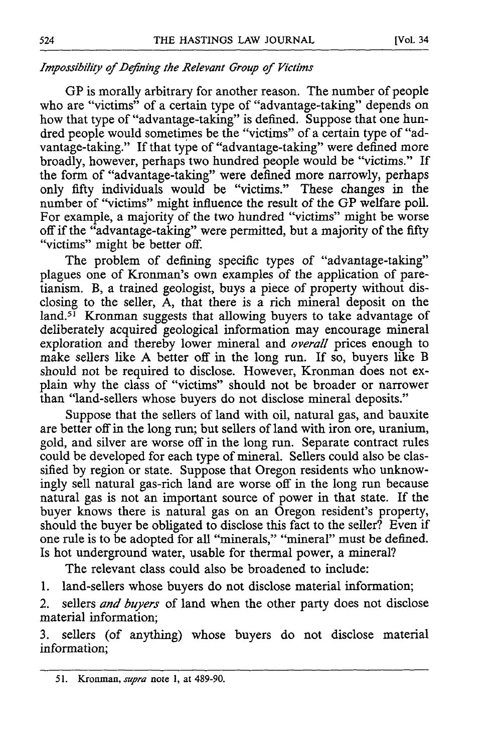### *Impossibility of Defining the Relevant Group of Victims*

GP is morally arbitrary for another reason. The number of people who are "victims" of a certain type of "advantage-taking" depends on how that type of "advantage-taking" is defined. Suppose that one hundred people would sometimes be the "victims" of a certain type of "advantage-taking." If that type of "advantage-taking" were defined more broadly, however, perhaps two hundred people would be "victims." If the form of "advantage-taking" were defined more narrowly, perhaps only fifty individuals would be "victims." These changes in the number of "victims" might influence the result of the GP welfare poll. For example, a majority of the two hundred "victims" might be worse off if the "advantage-taking" were permitted, but a majority of the fifty "victims" might be better off.

The problem of defining specific types of "advantage-taking" plagues one of Kronman's own examples of the application of paretianism. B, a trained geologist, buys a piece of property without disclosing to the seller, A, that there is a rich mineral deposit on the land.<sup>51</sup> Kronman suggests that allowing buyers to take advantage of deliberately acquired geological information may encourage mineral exploration and thereby lower mineral and *overall* prices enough to make sellers like A better off in the long run. If so, buyers like B should not be required to disclose. However, Kronman does not explain why the class of "victims" should not be broader or narrower than "land-sellers whose buyers do not disclose mineral deposits."

Suppose that the sellers of land with oil, natural gas, and bauxite are better off in the long run; but sellers of land with iron ore, uranium, gold, and silver are worse off in the long run. Separate contract rules could be developed for each type of mineral. Sellers could also be classified by region or state. Suppose that Oregon residents who unknowingly sell natural gas-rich land are worse off in the long run because natural gas is not an important source of power in that state. If the buyer knows there is natural gas on an Oregon resident's property, should the buyer be obligated to disclose this fact to the seller? Even if one rule is to be adopted for all "minerals," "mineral" must be defined. Is hot underground water, usable for thermal power, a mineral?

The relevant class could also be broadened to include:

1. land-sellers whose buyers do not disclose material information;

2. sellers *and buyers* of land when the other party does not disclose material information;

3. sellers (of anything) whose buyers do not disclose material information;

**<sup>51.</sup>** Kronman, *supra* note **1,** at 489-90.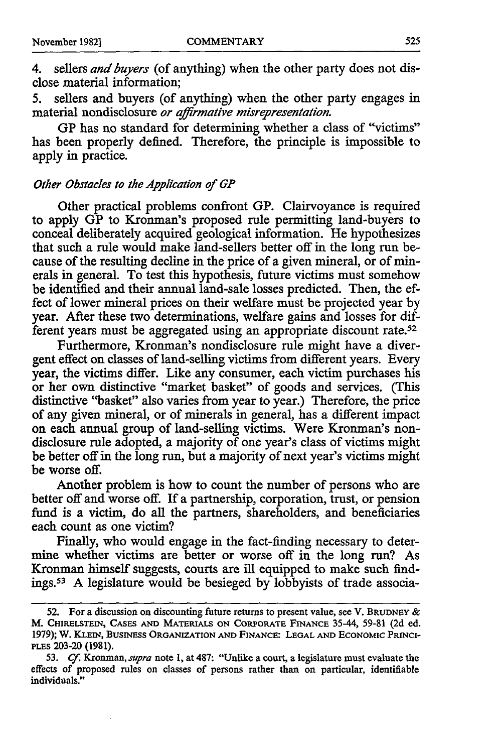4. sellers *and buyers* (of anything) when the other party does not disclose material information;

5. sellers and buyers (of anything) when the other party engages in material nondisclosure *or affirmative misrepresentation.*

GP has no standard for determining whether a class of "victims" has been properly defined. Therefore, the principle is impossible to apply in practice.

#### *Other Obstacles to the Application of GP*

Other practical problems confront GP. Clairvoyance is required to apply GP to Kronman's proposed rule permitting land-buyers to conceal deliberately acquired geological information. He hypothesizes that such a rule would make land-sellers better off in the long run because of the resulting decline in the price of a given mineral, or of minerals in general. To test this hypothesis, future victims must somehow be identified and their annual land-sale losses predicted. Then, the effect of lower mineral prices on their welfare must be projected year by year. After these two determinations, welfare gains and losses for different years must be aggregated using an appropriate discount rate.<sup>52</sup>

Furthermore, Kronman's nondisclosure rule might have a divergent effect on classes of land-selling victims from different years. Every year, the victims differ. Like any consumer, each victim purchases his or her own distinctive "market basket" of goods and services. (This distinctive "basket" also varies from year to year.) Therefore, the price of any given mineral, or of minerals in general, has a different impact on each annual group of land-selling victims. Were Kronman's nondisclosure rule adopted, a majority of one year's class of victims might be better off in the long run, but a majority of next year's victims might be worse off.

Another problem is how to count the number of persons who are better off and worse off. If a partnership, corporation, trust, or pension fund is a victim, do all the partners, shareholders, and beneficiaries each count as one victim?

Finally, who would engage in the fact-finding necessary to determine whether victims are better or worse off in the long run? As Kronman himself suggests, courts are ill equipped to make such findings.53 A legislature would be besieged by lobbyists of trade associa-

**<sup>52.</sup>** For a discussion on discounting future returns to present value, see V. **BRUDNEY &** M. **CHIRELSTEIN, CASES AND** MATERIALS **ON** CORPORATE **FINANCE** 35-44, 59-81 **(2d** ed. **1979);** W. KLEIN, **BUSINESS ORGANIZATION AND FINANCE: LEGAL AND ECONOMIC** PRINCI-PLES 203-20 (1981).

**<sup>53.</sup>** *Cf. Kronman, supra* note **1,** at 487: "Unlike a court, a legislature must evaluate the effects of proposed rules on classes of persons rather than on particular, identifiable individuals."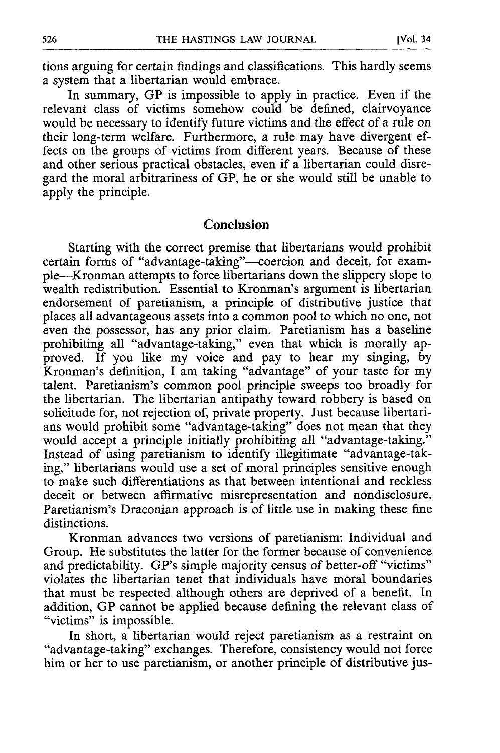tions arguing for certain findings and classifications. This hardly seems a system that a libertarian would embrace.

In summary, **GP** is impossible to apply in practice. Even if the relevant class of victims somehow could be defined, clairvoyance would be necessary to identify future victims and the effect of a rule on their long-term welfare. Furthermore, a rule may have divergent effects on the groups of victims from different years. Because of these and other serious practical obstacles, even if a libertarian could disregard the moral arbitrariness of **GP,** he or she would still be unable to apply the principle.

#### **Conclusion**

Starting with the correct premise that libertarians would prohibit certain forms of "advantage-taking"-coercion and deceit, for example-Kronman attempts to force libertarians down the slippery slope to wealth redistribution. Essential to Kronman's argument is libertarian endorsement of paretianism, a principle of distributive justice that places all advantageous assets into a common pool to which no one, not even the possessor, has any prior claim. Paretianism has a baseline prohibiting all "advantage-taking," even that which is morally approved. If you like my voice and pay to hear my singing, by Kronman's definition, I am taking "advantage" of your taste for my talent. Paretianism's common pool principle sweeps too broadly for the libertarian. The libertarian antipathy toward robbery is based on solicitude for, not rejection of, private property. Just because libertarians would prohibit some "advantage-taking" does not mean that they would accept a principle initially prohibiting all "advantage-taking." Instead of using paretianism to identify illegitimate "advantage-taking," libertarians would use a set of moral principles sensitive enough to make such differentiations as that between intentional and reckless deceit or between affirmative misrepresentation and nondisclosure. Paretianism's Draconian approach is of little use in making these fine distinctions.

Kronman advances two versions of paretianism: Individual and Group. He substitutes the latter for the former because of convenience and predictability. GP's simple majority census of better-off "victims" violates the libertarian tenet that individuals have moral boundaries that must be respected although others are deprived of a benefit. In addition, **GP** cannot be applied because defining the relevant class of "victims" is impossible.

In short, a libertarian would reject paretianism as a restraint on "advantage-taking" exchanges. Therefore, consistency would not force him or her to use paretianism, or another principle of distributive jus